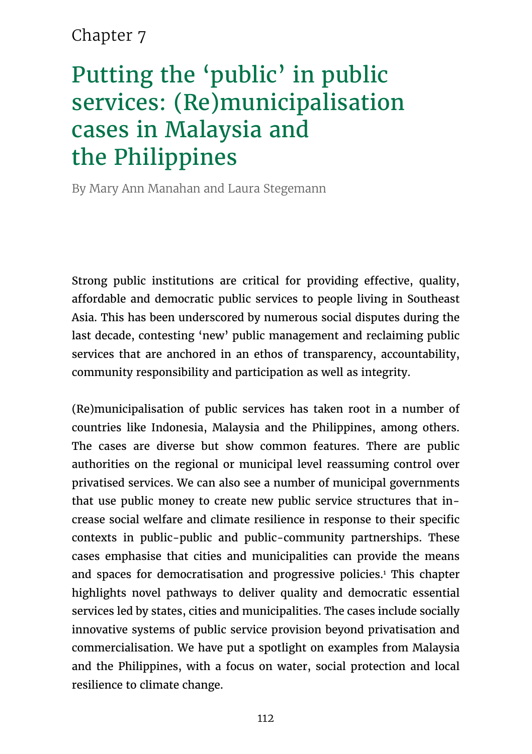## Chapter 7

# Putting the 'public' in public services: (Re)municipalisation cases in Malaysia and the Philippines

By Mary Ann Manahan and Laura Stegemann

Strong public institutions are critical for providing effective, quality, affordable and democratic public services to people living in Southeast Asia. This has been underscored by numerous social disputes during the last decade, contesting 'new' public management and reclaiming public services that are anchored in an ethos of transparency, accountability, community responsibility and participation as well as integrity.

(Re)municipalisation of public services has taken root in a number of countries like Indonesia, Malaysia and the Philippines, among others. The cases are diverse but show common features. There are public authorities on the regional or municipal level reassuming control over privatised services. We can also see a number of municipal governments that use public money to create new public service structures that increase social welfare and climate resilience in response to their specific contexts in public-public and public-community partnerships. These cases emphasise that cities and municipalities can provide the means and spaces for democratisation and progressive policies.<sup>1</sup> This chapter highlights novel pathways to deliver quality and democratic essential services led by states, cities and municipalities. The cases include socially innovative systems of public service provision beyond privatisation and commercialisation. We have put a spotlight on examples from Malaysia and the Philippines, with a focus on water, social protection and local resilience to climate change.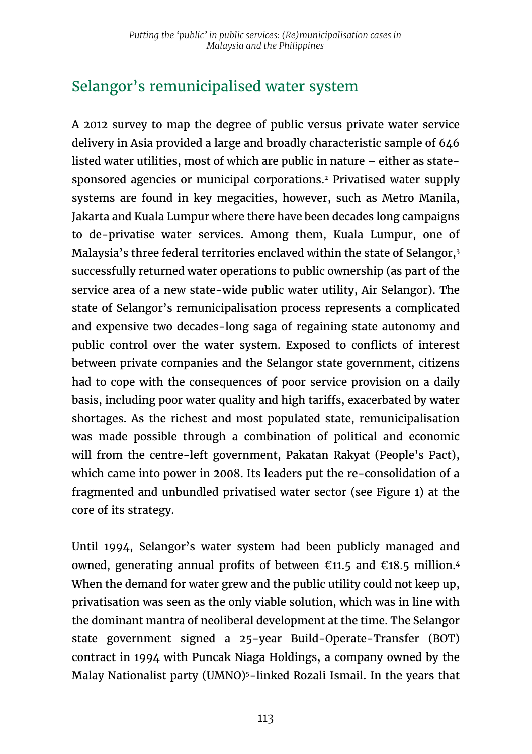## Selangor's remunicipalised water system

A 2012 survey to map the degree of public versus private water service delivery in Asia provided a large and broadly characteristic sample of 646 listed water utilities, most of which are public in nature – either as statesponsored agencies or municipal corporations.2 Privatised water supply systems are found in key megacities, however, such as Metro Manila, Jakarta and Kuala Lumpur where there have been decades long campaigns to de-privatise water services. Among them, Kuala Lumpur, one of Malaysia's three federal territories enclaved within the state of Selangor,<sup>3</sup> successfully returned water operations to public ownership (as part of the service area of a new state-wide public water utility, Air Selangor). The state of Selangor's remunicipalisation process represents a complicated and expensive two decades-long saga of regaining state autonomy and public control over the water system. Exposed to conflicts of interest between private companies and the Selangor state government, citizens had to cope with the consequences of poor service provision on a daily basis, including poor water quality and high tariffs, exacerbated by water shortages. As the richest and most populated state, remunicipalisation was made possible through a combination of political and economic will from the centre-left government, Pakatan Rakyat (People's Pact), which came into power in 2008. Its leaders put the re-consolidation of a fragmented and unbundled privatised water sector (see Figure 1) at the core of its strategy.

Until 1994, Selangor's water system had been publicly managed and owned, generating annual profits of between  $\epsilon$ 11.5 and  $\epsilon$ 18.5 million.<sup>4</sup> When the demand for water grew and the public utility could not keep up, privatisation was seen as the only viable solution, which was in line with the dominant mantra of neoliberal development at the time. The Selangor state government signed a 25-year Build-Operate-Transfer (BOT) contract in 1994 with Puncak Niaga Holdings, a company owned by the Malay Nationalist party (UMNO)<sup>5</sup>-linked Rozali Ismail. In the years that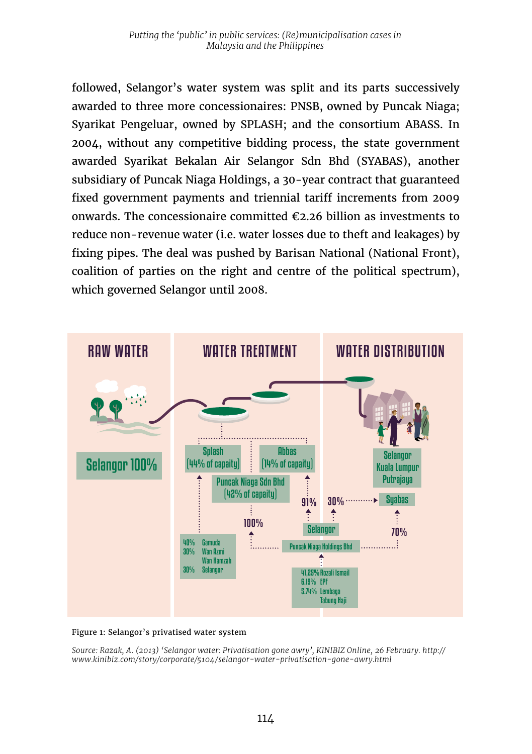followed, Selangor's water system was split and its parts successively awarded to three more concessionaires: PNSB, owned by Puncak Niaga; Syarikat Pengeluar, owned by SPLASH; and the consortium ABASS. In 2004, without any competitive bidding process, the state government awarded Syarikat Bekalan Air Selangor Sdn Bhd (SYABAS), another subsidiary of Puncak Niaga Holdings, a 30-year contract that guaranteed fixed government payments and triennial tariff increments from 2009 onwards. The concessionaire committed  $\epsilon$ 2.26 billion as investments to reduce non-revenue water (i.e. water losses due to theft and leakages) by fixing pipes. The deal was pushed by Barisan National (National Front), coalition of parties on the right and centre of the political spectrum), which governed Selangor until 2008.



#### Figure 1: Selangor's privatised water system

*Source: Razak, A. (2013) 'Selangor water: Privatisation gone awry', KINIBIZ Online, 26 February. http:// www.kinibiz.com/story/corporate/5104/selangor-water-privatisation-gone-awry.html*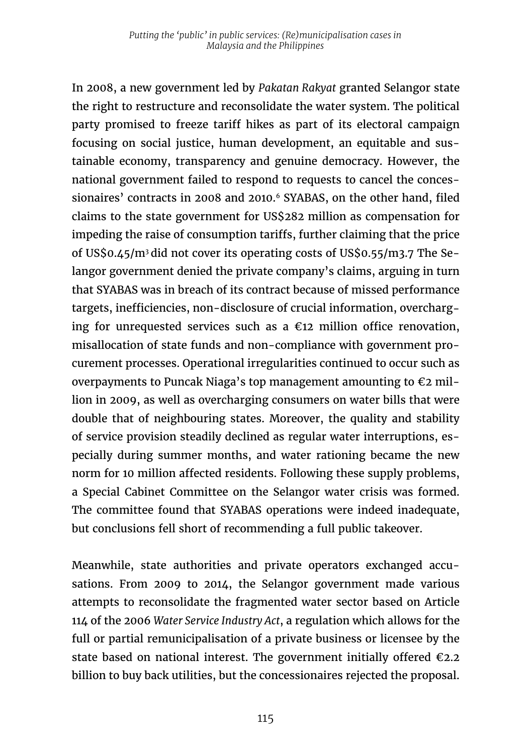In 2008, a new government led by *Pakatan Rakyat* granted Selangor state the right to restructure and reconsolidate the water system. The political party promised to freeze tariff hikes as part of its electoral campaign focusing on social justice, human development, an equitable and sustainable economy, transparency and genuine democracy. However, the national government failed to respond to requests to cancel the concessionaires' contracts in 2008 and 2010.<sup>6</sup> SYABAS, on the other hand, filed claims to the state government for US\$282 million as compensation for impeding the raise of consumption tariffs, further claiming that the price of US\$0.45/m3 did not cover its operating costs of US\$0.55/m3.7 The Selangor government denied the private company's claims, arguing in turn that SYABAS was in breach of its contract because of missed performance targets, inefficiencies, non-disclosure of crucial information, overcharging for unrequested services such as a  $\epsilon$ 12 million office renovation, misallocation of state funds and non-compliance with government procurement processes. Operational irregularities continued to occur such as overpayments to Puncak Niaga's top management amounting to  $\epsilon$ 2 million in 2009, as well as overcharging consumers on water bills that were double that of neighbouring states. Moreover, the quality and stability of service provision steadily declined as regular water interruptions, especially during summer months, and water rationing became the new norm for 10 million affected residents. Following these supply problems, a Special Cabinet Committee on the Selangor water crisis was formed. The committee found that SYABAS operations were indeed inadequate, but conclusions fell short of recommending a full public takeover.

Meanwhile, state authorities and private operators exchanged accusations. From 2009 to 2014, the Selangor government made various attempts to reconsolidate the fragmented water sector based on Article 114 of the 2006 *Water Service Industry Act*, a regulation which allows for the full or partial remunicipalisation of a private business or licensee by the state based on national interest. The government initially offered  $\epsilon$ 2.2 billion to buy back utilities, but the concessionaires rejected the proposal.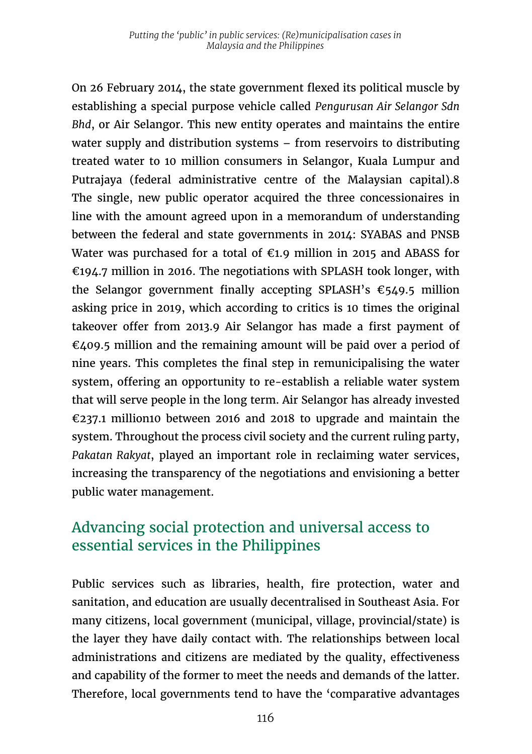On 26 February 2014, the state government flexed its political muscle by establishing a special purpose vehicle called *Pengurusan Air Selangor Sdn Bhd*, or Air Selangor. This new entity operates and maintains the entire water supply and distribution systems – from reservoirs to distributing treated water to 10 million consumers in Selangor, Kuala Lumpur and Putrajaya (federal administrative centre of the Malaysian capital).8 The single, new public operator acquired the three concessionaires in line with the amount agreed upon in a memorandum of understanding between the federal and state governments in 2014: SYABAS and PNSB Water was purchased for a total of  $\epsilon$ 1.9 million in 2015 and ABASS for €194.7 million in 2016. The negotiations with SPLASH took longer, with the Selangor government finally accepting SPLASH's  $\epsilon$ 549.5 million asking price in 2019, which according to critics is 10 times the original takeover offer from 2013.9 Air Selangor has made a first payment of €409.5 million and the remaining amount will be paid over a period of nine years. This completes the final step in remunicipalising the water system, offering an opportunity to re-establish a reliable water system that will serve people in the long term. Air Selangor has already invested €237.1 million10 between 2016 and 2018 to upgrade and maintain the system. Throughout the process civil society and the current ruling party, *Pakatan Rakyat*, played an important role in reclaiming water services, increasing the transparency of the negotiations and envisioning a better public water management.

## Advancing social protection and universal access to essential services in the Philippines

Public services such as libraries, health, fire protection, water and sanitation, and education are usually decentralised in Southeast Asia. For many citizens, local government (municipal, village, provincial/state) is the layer they have daily contact with. The relationships between local administrations and citizens are mediated by the quality, effectiveness and capability of the former to meet the needs and demands of the latter. Therefore, local governments tend to have the 'comparative advantages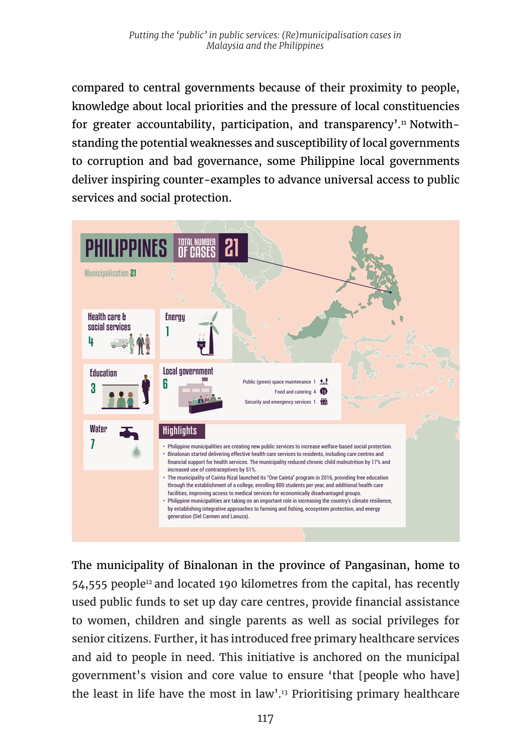compared to central governments because of their proximity to people, knowledge about local priorities and the pressure of local constituencies for greater accountability, participation, and transparency'.<sup>11</sup> Notwithstanding the potential weaknesses and susceptibility of local governments to corruption and bad governance, some Philippine local governments deliver inspiring counter-examples to advance universal access to public services and social protection.



The municipality of Binalonan in the province of Pangasinan, home to 54,555 people<sup>12</sup> and located 190 kilometres from the capital, has recently used public funds to set up day care centres, provide financial assistance to women, children and single parents as well as social privileges for senior citizens. Further, it has introduced free primary healthcare services and aid to people in need. This initiative is anchored on the municipal government's vision and core value to ensure 'that [people who have] the least in life have the most in law'.13 Prioritising primary healthcare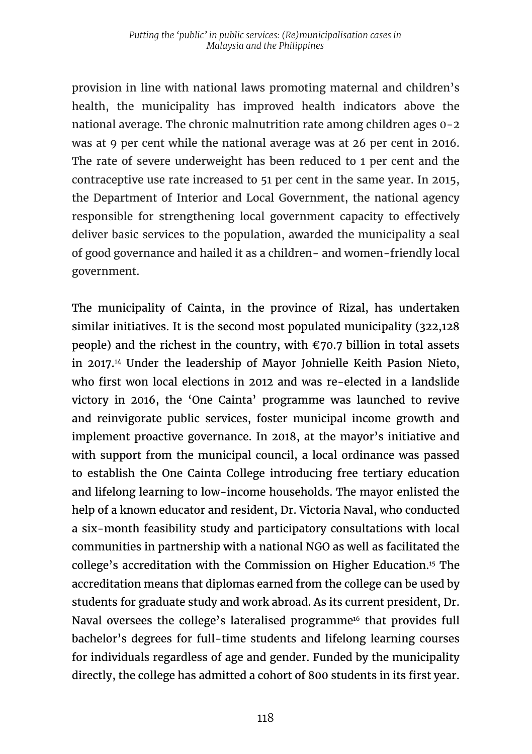provision in line with national laws promoting maternal and children's health, the municipality has improved health indicators above the national average. The chronic malnutrition rate among children ages 0-2 was at 9 per cent while the national average was at 26 per cent in 2016. The rate of severe underweight has been reduced to 1 per cent and the contraceptive use rate increased to 51 per cent in the same year. In 2015, the Department of Interior and Local Government, the national agency responsible for strengthening local government capacity to effectively deliver basic services to the population, awarded the municipality a seal of good governance and hailed it as a children- and women-friendly local government.

The municipality of Cainta, in the province of Rizal, has undertaken similar initiatives. It is the second most populated municipality (322,128 people) and the richest in the country, with  $\epsilon$ 70.7 billion in total assets in 2017.14 Under the leadership of Mayor Johnielle Keith Pasion Nieto, who first won local elections in 2012 and was re-elected in a landslide victory in 2016, the 'One Cainta' programme was launched to revive and reinvigorate public services, foster municipal income growth and implement proactive governance. In 2018, at the mayor's initiative and with support from the municipal council, a local ordinance was passed to establish the One Cainta College introducing free tertiary education and lifelong learning to low-income households. The mayor enlisted the help of a known educator and resident, Dr. Victoria Naval, who conducted a six-month feasibility study and participatory consultations with local communities in partnership with a national NGO as well as facilitated the college's accreditation with the Commission on Higher Education.<sup>15</sup> The accreditation means that diplomas earned from the college can be used by students for graduate study and work abroad. As its current president, Dr. Naval oversees the college's lateralised programme<sup>16</sup> that provides full bachelor's degrees for full-time students and lifelong learning courses for individuals regardless of age and gender. Funded by the municipality directly, the college has admitted a cohort of 800 students in its first year.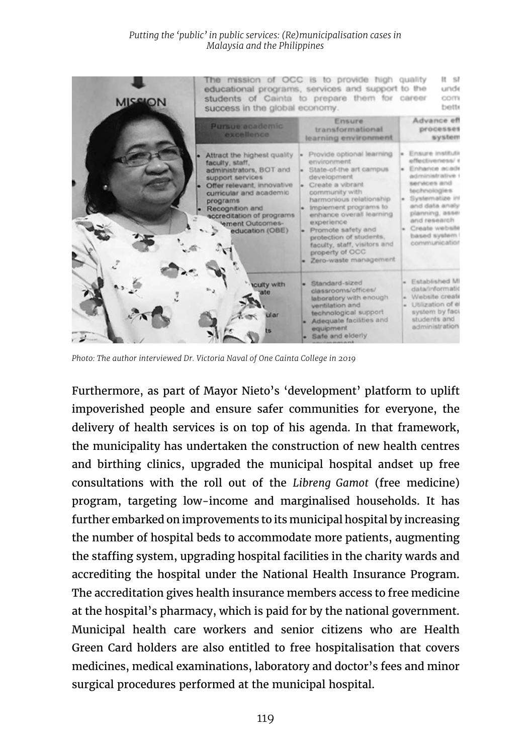#### *Putting the 'public' in public services: (Re)municipalisation cases in Malaysia and the Philippines*



*Photo: The author interviewed Dr. Victoria Naval of One Cainta College in 2019*

Furthermore, as part of Mayor Nieto's 'development' platform to uplift impoverished people and ensure safer communities for everyone, the delivery of health services is on top of his agenda. In that framework, the municipality has undertaken the construction of new health centres and birthing clinics, upgraded the municipal hospital andset up free consultations with the roll out of the *Libreng Gamot* (free medicine) program, targeting low-income and marginalised households. It has further embarked on improvements to its municipal hospital by increasing the number of hospital beds to accommodate more patients, augmenting the staffing system, upgrading hospital facilities in the charity wards and accrediting the hospital under the National Health Insurance Program. The accreditation gives health insurance members access to free medicine at the hospital's pharmacy, which is paid for by the national government. Municipal health care workers and senior citizens who are Health Green Card holders are also entitled to free hospitalisation that covers medicines, medical examinations, laboratory and doctor's fees and minor surgical procedures performed at the municipal hospital.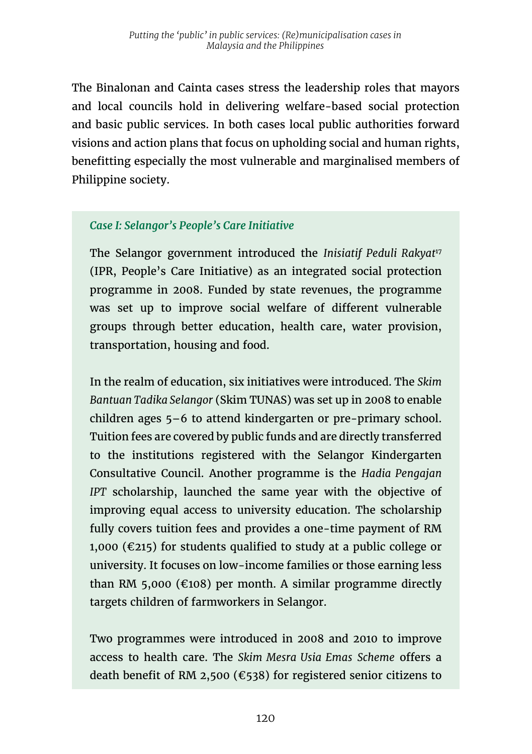The Binalonan and Cainta cases stress the leadership roles that mayors and local councils hold in delivering welfare-based social protection and basic public services. In both cases local public authorities forward visions and action plans that focus on upholding social and human rights, benefitting especially the most vulnerable and marginalised members of Philippine society.

## *Case I: Selangor's People's Care Initiative*

The Selangor government introduced the *Inisiatif Peduli Rakyat<sup>17</sup>* (IPR, People's Care Initiative) as an integrated social protection programme in 2008. Funded by state revenues, the programme was set up to improve social welfare of different vulnerable groups through better education, health care, water provision, transportation, housing and food.

In the realm of education, six initiatives were introduced. The *Skim Bantuan Tadika Selangor* (Skim TUNAS) was set up in 2008 to enable children ages 5–6 to attend kindergarten or pre-primary school. Tuition fees are covered by public funds and are directly transferred to the institutions registered with the Selangor Kindergarten Consultative Council. Another programme is the *Hadia Pengajan IPT* scholarship, launched the same year with the objective of improving equal access to university education. The scholarship fully covers tuition fees and provides a one-time payment of RM 1,000 ( $\epsilon$ 215) for students qualified to study at a public college or university. It focuses on low-income families or those earning less than RM 5,000 ( $\epsilon$ 108) per month. A similar programme directly targets children of farmworkers in Selangor.

Two programmes were introduced in 2008 and 2010 to improve access to health care. The *Skim Mesra Usia Emas Scheme* offers a death benefit of RM 2,500 (€538) for registered senior citizens to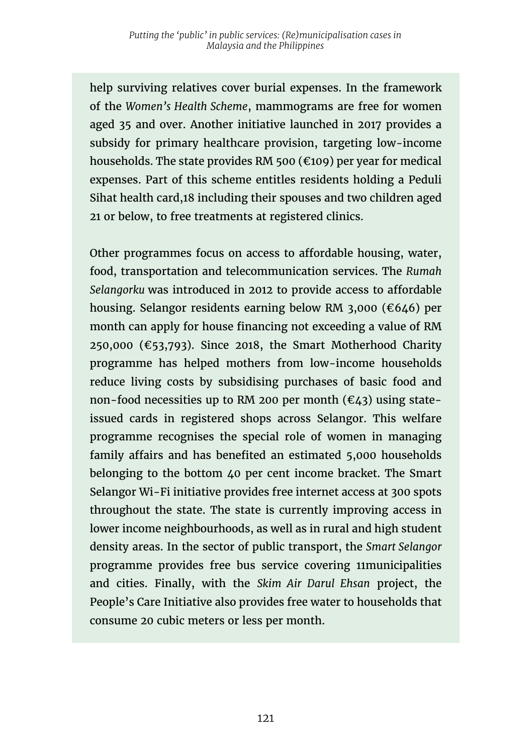help surviving relatives cover burial expenses. In the framework of the *Women's Health Scheme*, mammograms are free for women aged 35 and over. Another initiative launched in 2017 provides a subsidy for primary healthcare provision, targeting low-income households. The state provides RM 500 (€109) per year for medical expenses. Part of this scheme entitles residents holding a Peduli Sihat health card,18 including their spouses and two children aged 21 or below, to free treatments at registered clinics.

Other programmes focus on access to affordable housing, water, food, transportation and telecommunication services. The *Rumah Selangorku* was introduced in 2012 to provide access to affordable housing. Selangor residents earning below RM 3,000 (€646) per month can apply for house financing not exceeding a value of RM 250,000 ( $\epsilon$ 53,793). Since 2018, the Smart Motherhood Charity programme has helped mothers from low-income households reduce living costs by subsidising purchases of basic food and non-food necessities up to RM 200 per month ( $\epsilon$ 43) using stateissued cards in registered shops across Selangor. This welfare programme recognises the special role of women in managing family affairs and has benefited an estimated 5,000 households belonging to the bottom 40 per cent income bracket. The Smart Selangor Wi-Fi initiative provides free internet access at 300 spots throughout the state. The state is currently improving access in lower income neighbourhoods, as well as in rural and high student density areas. In the sector of public transport, the *Smart Selangor*  programme provides free bus service covering 11municipalities and cities. Finally, with the *Skim Air Darul Ehsan* project, the People's Care Initiative also provides free water to households that consume 20 cubic meters or less per month.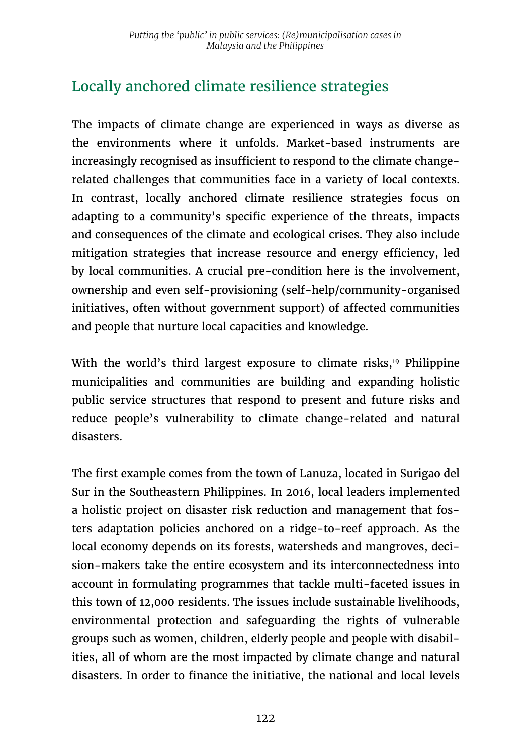# Locally anchored climate resilience strategies

The impacts of climate change are experienced in ways as diverse as the environments where it unfolds. Market-based instruments are increasingly recognised as insufficient to respond to the climate changerelated challenges that communities face in a variety of local contexts. In contrast, locally anchored climate resilience strategies focus on adapting to a community's specific experience of the threats, impacts and consequences of the climate and ecological crises. They also include mitigation strategies that increase resource and energy efficiency, led by local communities. A crucial pre-condition here is the involvement, ownership and even self-provisioning (self-help/community-organised initiatives, often without government support) of affected communities and people that nurture local capacities and knowledge.

With the world's third largest exposure to climate risks,<sup>19</sup> Philippine municipalities and communities are building and expanding holistic public service structures that respond to present and future risks and reduce people's vulnerability to climate change-related and natural disasters.

The first example comes from the town of Lanuza, located in Surigao del Sur in the Southeastern Philippines. In 2016, local leaders implemented a holistic project on disaster risk reduction and management that fosters adaptation policies anchored on a ridge-to-reef approach. As the local economy depends on its forests, watersheds and mangroves, decision-makers take the entire ecosystem and its interconnectedness into account in formulating programmes that tackle multi-faceted issues in this town of 12,000 residents. The issues include sustainable livelihoods, environmental protection and safeguarding the rights of vulnerable groups such as women, children, elderly people and people with disabilities, all of whom are the most impacted by climate change and natural disasters. In order to finance the initiative, the national and local levels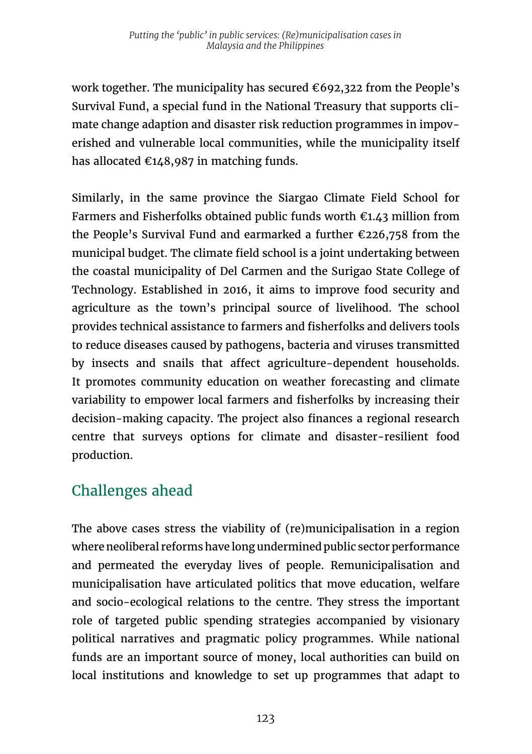work together. The municipality has secured  $\epsilon$ 692,322 from the People's Survival Fund, a special fund in the National Treasury that supports climate change adaption and disaster risk reduction programmes in impoverished and vulnerable local communities, while the municipality itself has allocated  $\epsilon$ 148,987 in matching funds.

Similarly, in the same province the Siargao Climate Field School for Farmers and Fisherfolks obtained public funds worth  $\epsilon$ 1.43 million from the People's Survival Fund and earmarked a further €226,758 from the municipal budget. The climate field school is a joint undertaking between the coastal municipality of Del Carmen and the Surigao State College of Technology. Established in 2016, it aims to improve food security and agriculture as the town's principal source of livelihood. The school provides technical assistance to farmers and fisherfolks and delivers tools to reduce diseases caused by pathogens, bacteria and viruses transmitted by insects and snails that affect agriculture-dependent households. It promotes community education on weather forecasting and climate variability to empower local farmers and fisherfolks by increasing their decision-making capacity. The project also finances a regional research centre that surveys options for climate and disaster-resilient food production.

## Challenges ahead

The above cases stress the viability of (re)municipalisation in a region where neoliberal reforms have long undermined public sector performance and permeated the everyday lives of people. Remunicipalisation and municipalisation have articulated politics that move education, welfare and socio-ecological relations to the centre. They stress the important role of targeted public spending strategies accompanied by visionary political narratives and pragmatic policy programmes. While national funds are an important source of money, local authorities can build on local institutions and knowledge to set up programmes that adapt to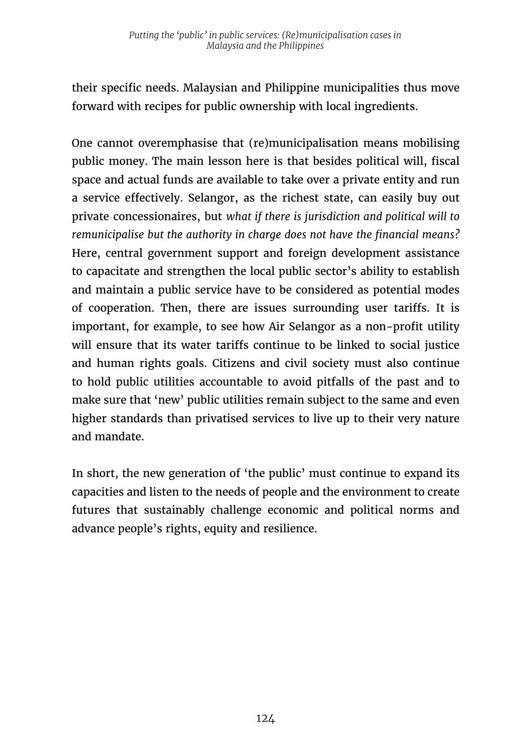their specific needs. Malaysian and Philippine municipalities thus move forward with recipes for public ownership with local ingredients.

One cannot overemphasise that (re)municipalisation means mobilising public money. The main lesson here is that besides political will, fiscal space and actual funds are available to take over a private entity and run a service effectively. Selangor, as the richest state, can easily buy out private concessionaires, but *what if there is jurisdiction and political will to remunicipalise but the authority in charge does not have the financial means?*  Here, central government support and foreign development assistance to capacitate and strengthen the local public sector's ability to establish and maintain a public service have to be considered as potential modes of cooperation. Then, there are issues surrounding user tariffs. It is important, for example, to see how Air Selangor as a non-profit utility will ensure that its water tariffs continue to be linked to social justice and human rights goals. Citizens and civil society must also continue to hold public utilities accountable to avoid pitfalls of the past and to make sure that 'new' public utilities remain subject to the same and even higher standards than privatised services to live up to their very nature and mandate.

In short, the new generation of 'the public' must continue to expand its capacities and listen to the needs of people and the environment to create futures that sustainably challenge economic and political norms and advance people's rights, equity and resilience.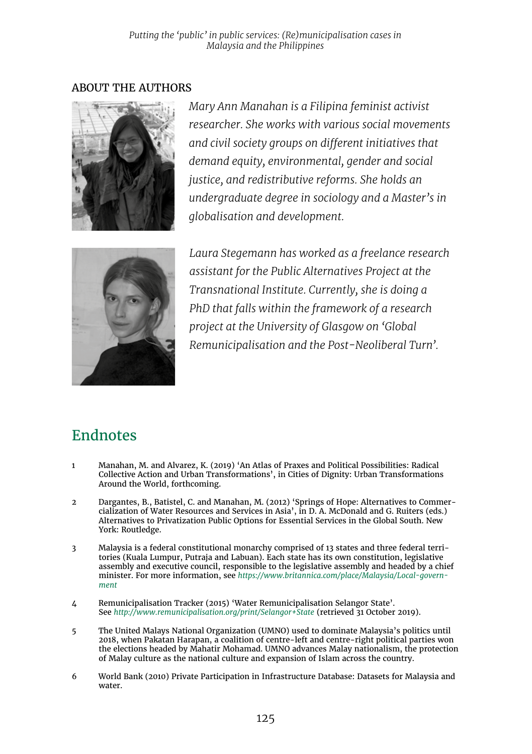### ABOUT THE AUTHORS



*Mary Ann Manahan is a Filipina feminist activist researcher. She works with various social movements and civil society groups on different initiatives that demand equity, environmental, gender and social justice, and redistributive reforms. She holds an undergraduate degree in sociology and a Master's in globalisation and development.* 



*Laura Stegemann has worked as a freelance research assistant for the Public Alternatives Project at the Transnational Institute. Currently, she is doing a PhD that falls within the framework of a research project at the University of Glasgow on 'Global Remunicipalisation and the Post-Neoliberal Turn'.*

## Endnotes

- 1 Manahan, M. and Alvarez, K. (2019) 'An Atlas of Praxes and Political Possibilities: Radical Collective Action and Urban Transformations', in Cities of Dignity: Urban Transformations Around the World, forthcoming.
- 2 Dargantes, B., Batistel, C. and Manahan, M. (2012) 'Springs of Hope: Alternatives to Commer-cialization of Water Resources and Services in Asia', in D. A. McDonald and G. Ruiters (eds.) Alternatives to Privatization Public Options for Essential Services in the Global South. New York: Routledge.
- 3 Malaysia is a federal constitutional monarchy comprised of 13 states and three federal territories (Kuala Lumpur, Putraja and Labuan). Each state has its own constitution, legislative assembly and executive council, responsible to the legislative assembly and headed by a chief minister. For more information, see *[https://www.britannica.com/place/Malaysia/Local-govern](https://www.britannica.com/place/Malaysia/Local-government)[ment](https://www.britannica.com/place/Malaysia/Local-government)*
- 4 Remunicipalisation Tracker (2015) 'Water Remunicipalisation Selangor State'. See *<http://www.remunicipalisation.org/print/Selangor+State>* (retrieved 31 October 2019).
- 5 The United Malays National Organization (UMNO) used to dominate Malaysia's politics until 2018, when Pakatan Harapan, a coalition of centre-left and centre-right political parties won the elections headed by Mahatir Mohamad. UMNO advances Malay nationalism, the protection of Malay culture as the national culture and expansion of Islam across the country.
- 6 World Bank (2010) Private Participation in Infrastructure Database: Datasets for Malaysia and water.